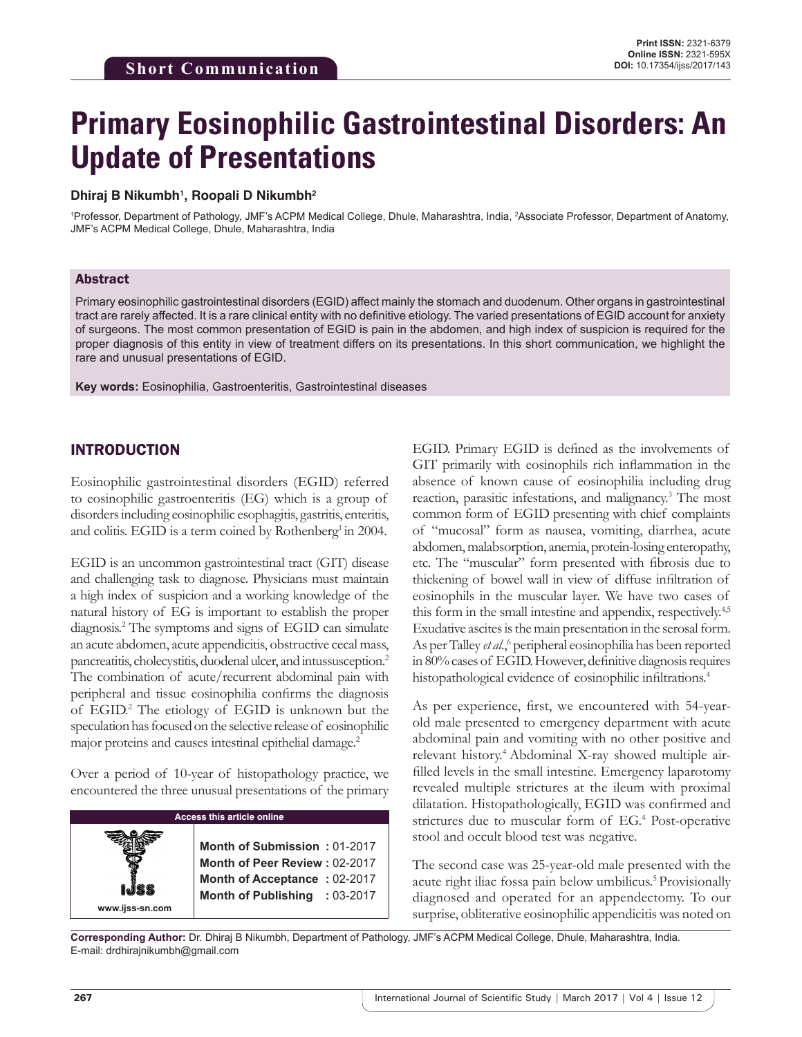# **Primary Eosinophilic Gastrointestinal Disorders: An Update of Presentations**

### **Dhiraj B Nikumbh1 , Roopali D Nikumbh2**

1 Professor, Department of Pathology, JMF's ACPM Medical College, Dhule, Maharashtra, India, 2 Associate Professor, Department of Anatomy, JMF's ACPM Medical College, Dhule, Maharashtra, India

### Abstract

Primary eosinophilic gastrointestinal disorders (EGID) affect mainly the stomach and duodenum. Other organs in gastrointestinal tract are rarely affected. It is a rare clinical entity with no definitive etiology. The varied presentations of EGID account for anxiety of surgeons. The most common presentation of EGID is pain in the abdomen, and high index of suspicion is required for the proper diagnosis of this entity in view of treatment differs on its presentations. In this short communication, we highlight the rare and unusual presentations of EGID.

**Key words:** Eosinophilia, Gastroenteritis, Gastrointestinal diseases

## INTRODUCTION

Eosinophilic gastrointestinal disorders (EGID) referred to eosinophilic gastroenteritis (EG) which is a group of disorders including eosinophilic esophagitis, gastritis, enteritis, and colitis. EGID is a term coined by Rothenberg<sup>1</sup> in 2004.

EGID is an uncommon gastrointestinal tract (GIT) disease and challenging task to diagnose. Physicians must maintain a high index of suspicion and a working knowledge of the natural history of EG is important to establish the proper diagnosis.2 The symptoms and signs of EGID can simulate an acute abdomen, acute appendicitis, obstructive cecal mass, pancreatitis, cholecystitis, duodenal ulcer, and intussusception.2 The combination of acute/recurrent abdominal pain with peripheral and tissue eosinophilia confirms the diagnosis of EGID.<sup>2</sup> The etiology of EGID is unknown but the speculation has focused on the selective release of eosinophilic major proteins and causes intestinal epithelial damage.<sup>2</sup>

Over a period of 10-year of histopathology practice, we encountered the three unusual presentations of the primary



EGID. Primary EGID is defined as the involvements of GIT primarily with eosinophils rich inflammation in the absence of known cause of eosinophilia including drug reaction, parasitic infestations, and malignancy.<sup>3</sup> The most common form of EGID presenting with chief complaints of "mucosal" form as nausea, vomiting, diarrhea, acute abdomen, malabsorption, anemia, protein-losing enteropathy, etc. The "muscular" form presented with fibrosis due to thickening of bowel wall in view of diffuse infiltration of eosinophils in the muscular layer. We have two cases of this form in the small intestine and appendix, respectively.<sup>4,5</sup> Exudative ascites is the main presentation in the serosal form. As per Talley et al.,<sup>6</sup> peripheral eosinophilia has been reported in 80% cases of EGID. However, definitive diagnosis requires histopathological evidence of eosinophilic infiltrations.<sup>4</sup>

As per experience, first, we encountered with 54-yearold male presented to emergency department with acute abdominal pain and vomiting with no other positive and relevant history.4 Abdominal X-ray showed multiple airfilled levels in the small intestine. Emergency laparotomy revealed multiple strictures at the ileum with proximal dilatation. Histopathologically, EGID was confirmed and strictures due to muscular form of EG.<sup>4</sup> Post-operative stool and occult blood test was negative.

The second case was 25-year-old male presented with the acute right iliac fossa pain below umbilicus.<sup>5</sup> Provisionally diagnosed and operated for an appendectomy. To our surprise, obliterative eosinophilic appendicitis was noted on

**Corresponding Author:** Dr. Dhiraj B Nikumbh, Department of Pathology, JMF's ACPM Medical College, Dhule, Maharashtra, India. E-mail: drdhirajnikumbh@gmail.com